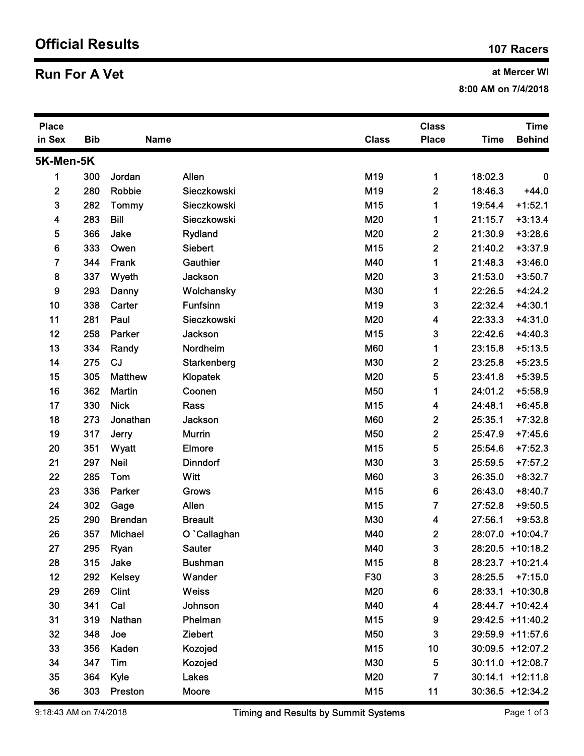## Official Results 107 Racers 107 Racers

## **Run For A Vet** and Mercer WI

| <b>Run For A Vet</b>    |            |                 |                            |                   |                              | at Mercer WI<br>8:00 AM on 7/4/2018 |                              |  |  |
|-------------------------|------------|-----------------|----------------------------|-------------------|------------------------------|-------------------------------------|------------------------------|--|--|
| <b>Place</b><br>in Sex  | <b>Bib</b> | Name            |                            | <b>Class</b>      | <b>Class</b><br><b>Place</b> | <b>Time</b>                         | <b>Time</b><br><b>Behind</b> |  |  |
| 5K-Men-5K               |            |                 |                            |                   |                              |                                     |                              |  |  |
| 1                       | 300        | Jordan          | Allen                      | M19               | $\mathbf 1$                  | 18:02.3                             | 0                            |  |  |
| $\boldsymbol{2}$        | 280        | Robbie          | Sieczkowski                | M19               | $\mathbf{2}$                 | 18:46.3                             | $+44.0$                      |  |  |
| 3                       | 282        | <b>Tommy</b>    | Sieczkowski                | M15               | 1                            | 19:54.4                             | $+1:52.1$                    |  |  |
| $\overline{\mathbf{4}}$ | 283        | <b>Bill</b>     | Sieczkowski                | M20               | 1                            | 21:15.7                             | $+3:13.4$                    |  |  |
| 5                       | 366        | Jake            | Rydland                    | M20               | $\boldsymbol{2}$             | 21:30.9                             | $+3:28.6$                    |  |  |
| 6                       | 333        | Owen            | Siebert                    | M15               | $\mathbf{2}$                 | 21:40.2                             | $+3:37.9$                    |  |  |
| $\overline{7}$          | 344        | Frank           | Gauthier                   | M40               | 1                            | 21:48.3                             | $+3:46.0$                    |  |  |
| 8                       | 337        | Wyeth           | Jackson                    | M20               | 3                            | 21:53.0                             | $+3:50.7$                    |  |  |
| 9                       | 293        | Danny           | Wolchansky                 | M30               | 1                            | 22:26.5                             | $+4:24.2$                    |  |  |
| 10                      | 338        | Carter          | <b>Funfsinn</b>            | M19               | 3                            | 22:32.4                             | $+4:30.1$                    |  |  |
| 11                      | 281        | Paul            | Sieczkowski                | M20               | $\overline{\mathbf{4}}$      | 22:33.3                             | $+4:31.0$                    |  |  |
| 12<br>13                | 258<br>334 | Parker<br>Randy | <b>Jackson</b><br>Nordheim | M15<br><b>M60</b> | 3<br>1                       | 22:42.6<br>23:15.8                  | $+4:40.3$<br>$+5:13.5$       |  |  |
| 14                      | 275        | <b>CJ</b>       | Starkenberg                | M30               | $\boldsymbol{2}$             | 23:25.8                             | $+5:23.5$                    |  |  |
| 15                      | 305        | <b>Matthew</b>  | Klopatek                   | M20               | 5                            | 23:41.8                             | $+5:39.5$                    |  |  |
| 16                      | 362        | <b>Martin</b>   | Coonen                     | M50               | 1                            | 24:01.2                             | $+5:58.9$                    |  |  |
| 17                      | 330        | <b>Nick</b>     | Rass                       | M15               | 4                            | 24:48.1                             | $+6:45.8$                    |  |  |
| 18                      | 273        | Jonathan        | <b>Jackson</b>             | <b>M60</b>        | $\mathbf 2$                  | 25:35.1                             | $+7:32.8$                    |  |  |
| 19                      | 317        | Jerry           | <b>Murrin</b>              | M50               | $\mathbf 2$                  | 25:47.9                             | $+7:45.6$                    |  |  |
| 20                      | 351        | Wyatt           | Elmore                     | M15               | 5                            | 25:54.6                             | $+7:52.3$                    |  |  |
| 21                      | 297        | <b>Neil</b>     | <b>Dinndorf</b>            | M30               | 3                            | 25:59.5                             | $+7:57.2$                    |  |  |
| 22                      | 285        | Tom             | Witt                       | <b>M60</b>        | 3                            | 26:35.0                             | $+8:32.7$                    |  |  |
| 23                      | 336        | Parker          | <b>Grows</b>               | M15               | 6                            | 26:43.0                             | $+8:40.7$                    |  |  |
| 24                      | 302        | Gage            | Allen                      | M15               | 7                            | 27:52.8                             | $+9:50.5$                    |  |  |
| 25                      | 290        | <b>Brendan</b>  | <b>Breault</b>             | M30               | 4                            | 27:56.1                             | $+9:53.8$                    |  |  |
| 26                      | 357        | Michael         | O `Callaghan               | M40               | $\mathbf{2}$                 |                                     | 28:07.0 +10:04.7             |  |  |
| 27                      | 295        | Ryan            | <b>Sauter</b>              | M40               | 3                            |                                     | 28:20.5 +10:18.2             |  |  |
| 28                      | 315        | Jake            | <b>Bushman</b>             | M15               | 8                            |                                     | 28:23.7 +10:21.4             |  |  |
| 12                      | 292        | <b>Kelsey</b>   | Wander                     | F30               | 3                            |                                     | 28:25.5 +7:15.0              |  |  |
| 29                      | 269        | <b>Clint</b>    | Weiss                      | M20               | 6                            |                                     | 28:33.1 +10:30.8             |  |  |
| 30                      | 341        | Cal             | Johnson                    | M40               | 4                            |                                     | 28:44.7 +10:42.4             |  |  |
| 31                      | 319        | Nathan          | Phelman                    | M15               | 9                            |                                     | 29:42.5 +11:40.2             |  |  |
| 32                      | 348        | Joe             | Ziebert                    | M50               | 3                            |                                     | 29:59.9 +11:57.6             |  |  |
| 33                      | 356        | Kaden           | Kozojed                    | M15               | 10                           |                                     | 30:09.5 +12:07.2             |  |  |
| 34                      | 347        | Tim             | Kozojed                    | M30               | 5                            |                                     | 30:11.0 +12:08.7             |  |  |
| 35                      | 364        | Kyle            | Lakes                      | M20               | $\overline{7}$               |                                     | 30:14.1 +12:11.8             |  |  |
| 36                      | 303        | Preston         | Moore                      | M15               | 11                           |                                     | 30:36.5 +12:34.2             |  |  |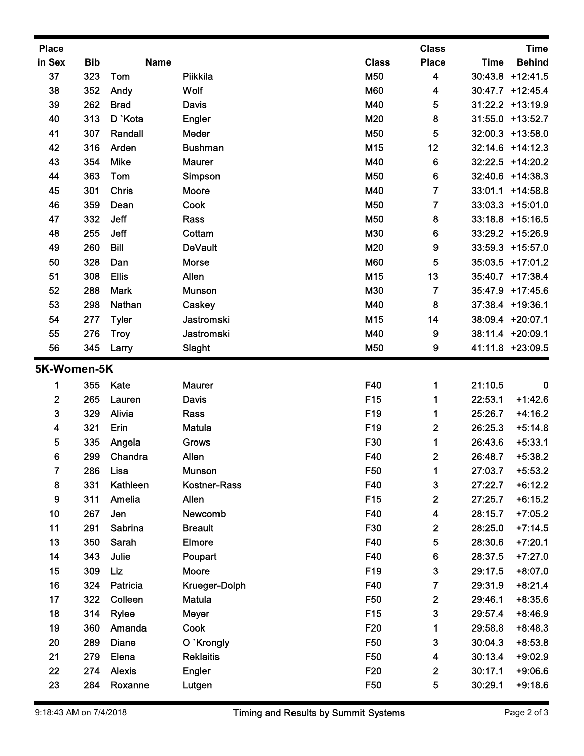| in Sex<br>37<br>38<br>39<br>40<br>41<br>42<br>43<br>44<br>45<br>46<br>47<br>48<br>49<br>50<br>51<br>52<br>53<br>54<br>55<br>56<br>5K-Women-5K<br>$\mathbf{2}$<br>3<br>4<br>5 | <b>Bib</b><br>323<br>352<br>262<br>313<br>307<br>316<br>354<br>363<br>301<br>359<br>332<br>255<br>260<br>328<br>308<br>288<br>298<br>277 | <b>Name</b><br>Tom<br>Andy<br><b>Brad</b><br>D `Kota<br>Randall<br>Arden<br><b>Mike</b><br>Tom<br>Chris<br>Dean<br>Jeff<br>Jeff<br><b>Bill</b><br>Dan<br><b>Ellis</b><br><b>Mark</b><br>Nathan | Piikkila<br>Wolf<br><b>Davis</b><br>Engler<br>Meder<br><b>Bushman</b><br><b>Maurer</b><br>Simpson<br>Moore<br>Cook<br>Rass<br>Cottam<br><b>DeVault</b><br>Morse<br>Allen | <b>Class</b><br>M50<br><b>M60</b><br>M40<br>M20<br><b>M50</b><br>M15<br>M40<br><b>M50</b><br>M40<br><b>M50</b><br><b>M50</b><br>M30<br>M20<br><b>M60</b> | <b>Place</b><br>4<br>4<br>5<br>8<br>5<br>12<br>6<br>6<br>$\overline{7}$<br>$\overline{7}$<br>8<br>6 | <b>Time</b>        | <b>Behind</b><br>30:43.8 +12:41.5<br>30:47.7 +12:45.4<br>31:22.2 +13:19.9<br>31:55.0 +13:52.7<br>32:00.3 +13:58.0<br>32:14.6 +14:12.3<br>32:22.5 +14:20.2<br>32:40.6 +14:38.3<br>33:01.1 +14:58.8 |
|------------------------------------------------------------------------------------------------------------------------------------------------------------------------------|------------------------------------------------------------------------------------------------------------------------------------------|------------------------------------------------------------------------------------------------------------------------------------------------------------------------------------------------|--------------------------------------------------------------------------------------------------------------------------------------------------------------------------|----------------------------------------------------------------------------------------------------------------------------------------------------------|-----------------------------------------------------------------------------------------------------|--------------------|---------------------------------------------------------------------------------------------------------------------------------------------------------------------------------------------------|
|                                                                                                                                                                              |                                                                                                                                          |                                                                                                                                                                                                |                                                                                                                                                                          |                                                                                                                                                          |                                                                                                     |                    |                                                                                                                                                                                                   |
|                                                                                                                                                                              |                                                                                                                                          |                                                                                                                                                                                                |                                                                                                                                                                          |                                                                                                                                                          |                                                                                                     |                    |                                                                                                                                                                                                   |
|                                                                                                                                                                              |                                                                                                                                          |                                                                                                                                                                                                |                                                                                                                                                                          |                                                                                                                                                          |                                                                                                     |                    |                                                                                                                                                                                                   |
|                                                                                                                                                                              |                                                                                                                                          |                                                                                                                                                                                                |                                                                                                                                                                          |                                                                                                                                                          |                                                                                                     |                    |                                                                                                                                                                                                   |
|                                                                                                                                                                              |                                                                                                                                          |                                                                                                                                                                                                |                                                                                                                                                                          |                                                                                                                                                          |                                                                                                     |                    |                                                                                                                                                                                                   |
|                                                                                                                                                                              |                                                                                                                                          |                                                                                                                                                                                                |                                                                                                                                                                          |                                                                                                                                                          |                                                                                                     |                    |                                                                                                                                                                                                   |
|                                                                                                                                                                              |                                                                                                                                          |                                                                                                                                                                                                |                                                                                                                                                                          |                                                                                                                                                          |                                                                                                     |                    |                                                                                                                                                                                                   |
|                                                                                                                                                                              |                                                                                                                                          |                                                                                                                                                                                                |                                                                                                                                                                          |                                                                                                                                                          |                                                                                                     |                    |                                                                                                                                                                                                   |
|                                                                                                                                                                              |                                                                                                                                          |                                                                                                                                                                                                |                                                                                                                                                                          |                                                                                                                                                          |                                                                                                     |                    |                                                                                                                                                                                                   |
|                                                                                                                                                                              |                                                                                                                                          |                                                                                                                                                                                                |                                                                                                                                                                          |                                                                                                                                                          |                                                                                                     |                    | 33:03.3 +15:01.0                                                                                                                                                                                  |
|                                                                                                                                                                              |                                                                                                                                          |                                                                                                                                                                                                |                                                                                                                                                                          |                                                                                                                                                          |                                                                                                     |                    | 33:18.8 +15:16.5                                                                                                                                                                                  |
|                                                                                                                                                                              |                                                                                                                                          |                                                                                                                                                                                                |                                                                                                                                                                          |                                                                                                                                                          |                                                                                                     |                    | 33:29.2 +15:26.9                                                                                                                                                                                  |
|                                                                                                                                                                              |                                                                                                                                          |                                                                                                                                                                                                |                                                                                                                                                                          |                                                                                                                                                          | 9                                                                                                   |                    | 33:59.3 +15:57.0                                                                                                                                                                                  |
|                                                                                                                                                                              |                                                                                                                                          |                                                                                                                                                                                                |                                                                                                                                                                          |                                                                                                                                                          | 5                                                                                                   |                    | 35:03.5 +17:01.2                                                                                                                                                                                  |
|                                                                                                                                                                              |                                                                                                                                          |                                                                                                                                                                                                | <b>Munson</b>                                                                                                                                                            | M15<br>M30                                                                                                                                               | 13<br>$\overline{\mathbf{7}}$                                                                       |                    | 35:40.7 +17:38.4<br>35:47.9 +17:45.6                                                                                                                                                              |
|                                                                                                                                                                              |                                                                                                                                          |                                                                                                                                                                                                | Caskey                                                                                                                                                                   | M40                                                                                                                                                      | 8                                                                                                   |                    | 37:38.4 +19:36.1                                                                                                                                                                                  |
|                                                                                                                                                                              |                                                                                                                                          | <b>Tyler</b>                                                                                                                                                                                   | Jastromski                                                                                                                                                               | M15                                                                                                                                                      | 14                                                                                                  |                    | 38:09.4 +20:07.1                                                                                                                                                                                  |
|                                                                                                                                                                              | 276                                                                                                                                      | <b>Troy</b>                                                                                                                                                                                    | Jastromski                                                                                                                                                               | M40                                                                                                                                                      | 9                                                                                                   |                    | 38:11.4 +20:09.1                                                                                                                                                                                  |
|                                                                                                                                                                              | 345                                                                                                                                      | Larry                                                                                                                                                                                          | Slaght                                                                                                                                                                   | <b>M50</b>                                                                                                                                               | 9                                                                                                   |                    | 41:11.8 +23:09.5                                                                                                                                                                                  |
|                                                                                                                                                                              |                                                                                                                                          |                                                                                                                                                                                                |                                                                                                                                                                          |                                                                                                                                                          |                                                                                                     |                    |                                                                                                                                                                                                   |
|                                                                                                                                                                              | 355                                                                                                                                      | Kate                                                                                                                                                                                           | <b>Maurer</b>                                                                                                                                                            | F40                                                                                                                                                      | $\mathbf 1$                                                                                         | 21:10.5            | $\bf{0}$                                                                                                                                                                                          |
|                                                                                                                                                                              | 265                                                                                                                                      | Lauren                                                                                                                                                                                         | Davis                                                                                                                                                                    | F <sub>15</sub>                                                                                                                                          | 1                                                                                                   | 22:53.1            | $+1:42.6$                                                                                                                                                                                         |
|                                                                                                                                                                              | 329                                                                                                                                      | Alivia                                                                                                                                                                                         | Rass                                                                                                                                                                     | F19                                                                                                                                                      | 1                                                                                                   | 25:26.7            | $+4:16.2$                                                                                                                                                                                         |
|                                                                                                                                                                              | 321                                                                                                                                      | Erin                                                                                                                                                                                           | <b>Matula</b>                                                                                                                                                            | F19                                                                                                                                                      | $\boldsymbol{2}$                                                                                    | 26:25.3            | $+5:14.8$                                                                                                                                                                                         |
|                                                                                                                                                                              | 335                                                                                                                                      | Angela                                                                                                                                                                                         | <b>Grows</b>                                                                                                                                                             | F30                                                                                                                                                      | 1                                                                                                   | 26:43.6            | $+5:33.1$                                                                                                                                                                                         |
| 6                                                                                                                                                                            | 299                                                                                                                                      | Chandra                                                                                                                                                                                        | Allen                                                                                                                                                                    | F40                                                                                                                                                      | 2                                                                                                   | 26:48.7            | $+5:38.2$                                                                                                                                                                                         |
| $\overline{7}$<br>8                                                                                                                                                          | 286<br>331                                                                                                                               | Lisa<br>Kathleen                                                                                                                                                                               | <b>Munson</b><br>Kostner-Rass                                                                                                                                            | F50<br>F40                                                                                                                                               | 3                                                                                                   | 27:03.7<br>27:22.7 | $+5:53.2$<br>$+6:12.2$                                                                                                                                                                            |
| 9                                                                                                                                                                            | 311                                                                                                                                      | Amelia                                                                                                                                                                                         | Allen                                                                                                                                                                    | F <sub>15</sub>                                                                                                                                          | $\boldsymbol{2}$                                                                                    | 27:25.7            | $+6:15.2$                                                                                                                                                                                         |
| 10                                                                                                                                                                           | 267                                                                                                                                      | Jen                                                                                                                                                                                            | Newcomb                                                                                                                                                                  | F40                                                                                                                                                      | 4                                                                                                   | 28:15.7            | $+7:05.2$                                                                                                                                                                                         |
| 11                                                                                                                                                                           | 291                                                                                                                                      | Sabrina                                                                                                                                                                                        | <b>Breault</b>                                                                                                                                                           | F30                                                                                                                                                      | $\boldsymbol{2}$                                                                                    | 28:25.0            | $+7:14.5$                                                                                                                                                                                         |
| 13                                                                                                                                                                           | 350                                                                                                                                      | Sarah                                                                                                                                                                                          | <b>Elmore</b>                                                                                                                                                            | F40                                                                                                                                                      | 5                                                                                                   | 28:30.6            | $+7:20.1$                                                                                                                                                                                         |
| 14                                                                                                                                                                           | 343                                                                                                                                      | Julie                                                                                                                                                                                          | Poupart                                                                                                                                                                  | F40                                                                                                                                                      | 6                                                                                                   | 28:37.5            | $+7:27.0$                                                                                                                                                                                         |
| 15                                                                                                                                                                           | 309                                                                                                                                      | Liz                                                                                                                                                                                            | Moore                                                                                                                                                                    | F19                                                                                                                                                      | 3                                                                                                   | 29:17.5            | $+8:07.0$                                                                                                                                                                                         |
| 16                                                                                                                                                                           | 324                                                                                                                                      | Patricia                                                                                                                                                                                       | Krueger-Dolph                                                                                                                                                            | F40                                                                                                                                                      | $\overline{\mathbf{7}}$                                                                             | 29:31.9            | $+8:21.4$                                                                                                                                                                                         |
| 17                                                                                                                                                                           | 322                                                                                                                                      | Colleen                                                                                                                                                                                        | <b>Matula</b>                                                                                                                                                            | F50                                                                                                                                                      | $\boldsymbol{2}$                                                                                    | 29:46.1            | $+8:35.6$                                                                                                                                                                                         |
| 18                                                                                                                                                                           | 314                                                                                                                                      | <b>Rylee</b>                                                                                                                                                                                   | Meyer                                                                                                                                                                    | F <sub>15</sub>                                                                                                                                          | 3                                                                                                   | 29:57.4            | $+8:46.9$                                                                                                                                                                                         |
| 19                                                                                                                                                                           | 360                                                                                                                                      | Amanda                                                                                                                                                                                         | Cook                                                                                                                                                                     | F20                                                                                                                                                      |                                                                                                     | 29:58.8            | $+8:48.3$                                                                                                                                                                                         |
| 20                                                                                                                                                                           | 289                                                                                                                                      | <b>Diane</b>                                                                                                                                                                                   | O `Krongly                                                                                                                                                               | F50                                                                                                                                                      | 3                                                                                                   | 30:04.3            | $+8:53.8$                                                                                                                                                                                         |
| 21                                                                                                                                                                           | 279                                                                                                                                      | Elena                                                                                                                                                                                          | <b>Reklaitis</b>                                                                                                                                                         | F50                                                                                                                                                      | 4                                                                                                   | 30:13.4            | $+9:02.9$                                                                                                                                                                                         |
| 22<br>23                                                                                                                                                                     | 274<br>284                                                                                                                               | <b>Alexis</b><br>Roxanne                                                                                                                                                                       | <b>Engler</b><br>Lutgen                                                                                                                                                  | <b>F20</b><br>F50                                                                                                                                        | $\boldsymbol{2}$<br>5                                                                               |                    | $30:17.1$ +9:06.6<br>$30:29.1$ +9:18.6                                                                                                                                                            |